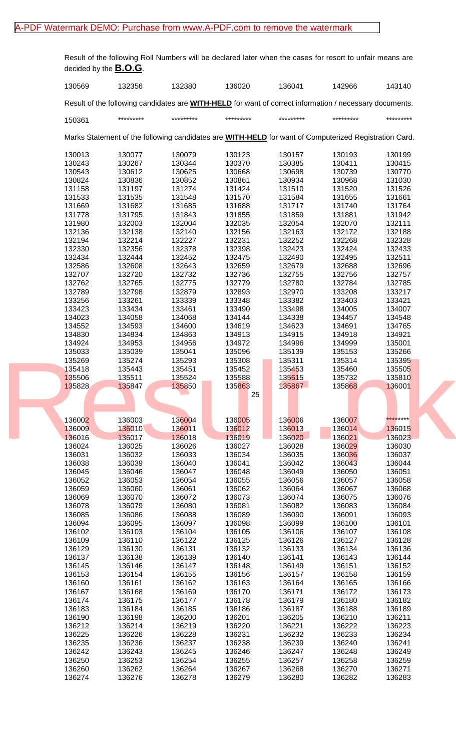## [A-PDF Watermark DEMO: Purchase from www.A-PDF.com to remove the watermark](http://www.a-pdf.com/?wm-demo)

Result of the following Roll Numbers will be declared later when the cases for resort to unfair means are decided by the **B.O.G**.

| 130569           | 132356           | 132380           | 136020                                                                                                       | 136041           | 142966           | 143140           |  |
|------------------|------------------|------------------|--------------------------------------------------------------------------------------------------------------|------------------|------------------|------------------|--|
|                  |                  |                  | Result of the following candidates are WITH-HELD for want of correct information / necessary documents.      |                  |                  |                  |  |
| 150361           | *********        | *********        | *********                                                                                                    | *********        | *********        | *********        |  |
|                  |                  |                  | Marks Statement of the following candidates are <b>WITH-HELD</b> for want of Computerized Registration Card. |                  |                  |                  |  |
| 130013           | 130077           | 130079           | 130123                                                                                                       | 130157           | 130193           | 130199           |  |
| 130243           | 130267           | 130344           | 130370                                                                                                       | 130385           | 130411           | 130415           |  |
| 130543           | 130612           | 130625           | 130668                                                                                                       | 130698           | 130739           | 130770           |  |
| 130824           | 130836           | 130852           | 130861                                                                                                       | 130934           | 130968           | 131030           |  |
| 131158           | 131197           | 131274           | 131424                                                                                                       | 131510           | 131520           | 131526           |  |
| 131533           | 131535           | 131548           | 131570                                                                                                       | 131584           | 131655           | 131661           |  |
| 131669           | 131682           | 131685           | 131688                                                                                                       | 131717           | 131740           | 131764           |  |
| 131778           | 131795           | 131843           | 131855                                                                                                       | 131859           | 131881           | 131942           |  |
| 131980           | 132003           | 132004           | 132035                                                                                                       | 132054           | 132070           | 132111           |  |
| 132136           | 132138           | 132140           | 132156                                                                                                       | 132163           | 132172           | 132188           |  |
| 132194           | 132214           | 132227           | 132231                                                                                                       | 132252           | 132268           | 132328           |  |
| 132330           | 132356           | 132378           | 132398                                                                                                       | 132423           | 132424           | 132433           |  |
| 132434           | 132444           | 132452           | 132475                                                                                                       | 132490           | 132495           | 132511           |  |
| 132586           | 132608           | 132643           | 132659                                                                                                       | 132679           | 132688           | 132696           |  |
| 132707           | 132720           | 132732           | 132736                                                                                                       | 132755           | 132756           | 132757           |  |
| 132762           | 132765           | 132775           | 132779                                                                                                       | 132780           | 132784           | 132785           |  |
| 132789           | 132798           | 132879           | 132893                                                                                                       | 132970           | 133208           | 133217           |  |
| 133256           | 133261           | 133339           | 133348                                                                                                       | 133382           | 133403           | 133421           |  |
| 133423           | 133434           | 133461           | 133490                                                                                                       | 133498           | 134005           | 134007           |  |
| 134023           | 134058           | 134068           | 134144                                                                                                       | 134338           | 134457           | 134548           |  |
| 134552           | 134593           | 134600           | 134619                                                                                                       | 134623           | 134691           | 134765           |  |
| 134830           | 134834           | 134863           | 134913                                                                                                       | 134915           | 134918           | 134921           |  |
| 134924           | 134953           | 134956           | 134972                                                                                                       | 134996           | 134999           | 135001           |  |
| 135033           | 135039           | 135041           | 135096                                                                                                       | 135139           | 135153           | 135266           |  |
| 135269           | 135274           | 135293           | 135308                                                                                                       | 135311           | 135314           | 135395           |  |
| 135418           | 135443           | 135451           | 135452                                                                                                       | 135453           | 135460           | 135505           |  |
| 135506           | 135511           | 135524           | 135588                                                                                                       | 135615           | 135732           | 135810           |  |
| 135828           | 135847           | 135850           | 135863                                                                                                       | 135867           | 135868           | 136001           |  |
|                  |                  |                  | 25                                                                                                           |                  |                  |                  |  |
|                  |                  |                  |                                                                                                              |                  |                  |                  |  |
|                  |                  |                  |                                                                                                              |                  |                  |                  |  |
| 136002           | 136003           | 136004           | 136005                                                                                                       | 136006           | 136007           | ********         |  |
| 136009           | 136010           | 136011           | 136012                                                                                                       | 136013           | 136014           | 136015           |  |
| 136016           | 136017           | 136018           | 136019                                                                                                       | 136020           | 136021           | 136023           |  |
| 136024           | 136025           | 136026           | 136027                                                                                                       | 136028           | 136029           | 136030           |  |
| 136031           | 136032           | 136033           | 136034                                                                                                       | 136035           | 136036           | 136037           |  |
| 136038           | 136039           | 136040           | 136041                                                                                                       | 136042           | 136043           | 136044           |  |
| 136045           | 136046           | 136047           | 136048                                                                                                       | 136049           | 136050           | 136051           |  |
| 136052           | 136053           | 136054           | 136055                                                                                                       | 136056           | 136057           | 136058           |  |
| 136059           | 136060           | 136061           | 136062                                                                                                       | 136064           | 136067           | 136068           |  |
| 136069           | 136070           | 136072           | 136073                                                                                                       | 136074           | 136075           | 136076           |  |
| 136078           | 136079           | 136080           | 136081                                                                                                       | 136082           | 136083           | 136084           |  |
| 136085           | 136086           | 136088           | 136089                                                                                                       | 136090           | 136091           | 136093           |  |
| 136094           | 136095           | 136097           | 136098                                                                                                       | 136099           | 136100           | 136101           |  |
| 136102           | 136103           | 136104           | 136105                                                                                                       | 136106           | 136107           | 136108           |  |
| 136109           | 136110           | 136122           | 136125                                                                                                       | 136126           | 136127           | 136128           |  |
| 136129           | 136130           | 136131           | 136132                                                                                                       | 136133           | 136134           | 136136           |  |
| 136137           | 136138           | 136139           | 136140                                                                                                       | 136141           | 136143           | 136144           |  |
| 136145           | 136146           | 136147           | 136148                                                                                                       | 136149           | 136151           | 136152           |  |
| 136153           | 136154           | 136155           | 136156                                                                                                       | 136157           | 136158           | 136159           |  |
| 136160           | 136161           | 136162           | 136163                                                                                                       | 136164           | 136165           | 136166           |  |
| 136167           | 136168           | 136169           | 136170                                                                                                       | 136171           | 136172           | 136173           |  |
| 136174           | 136175           | 136177           | 136178                                                                                                       | 136179           | 136180           | 136182           |  |
| 136183           | 136184           | 136185           | 136186                                                                                                       | 136187           | 136188           | 136189           |  |
| 136190           | 136198           | 136200           | 136201                                                                                                       | 136205           | 136210           | 136211           |  |
| 136212           | 136214           | 136219           | 136220                                                                                                       | 136221           | 136222           | 136223           |  |
| 136225           | 136226           | 136228           | 136231                                                                                                       | 136232           | 136233           | 136234           |  |
| 136235           | 136236           | 136237           | 136238                                                                                                       | 136239           | 136240           | 136241           |  |
| 136242           | 136243           | 136245           | 136246                                                                                                       | 136247           | 136248           | 136249           |  |
|                  |                  |                  |                                                                                                              |                  |                  |                  |  |
|                  |                  |                  |                                                                                                              |                  |                  |                  |  |
| 136250<br>136260 | 136253<br>136262 | 136254<br>136264 | 136255<br>136267                                                                                             | 136257<br>136268 | 136258<br>136270 | 136259<br>136271 |  |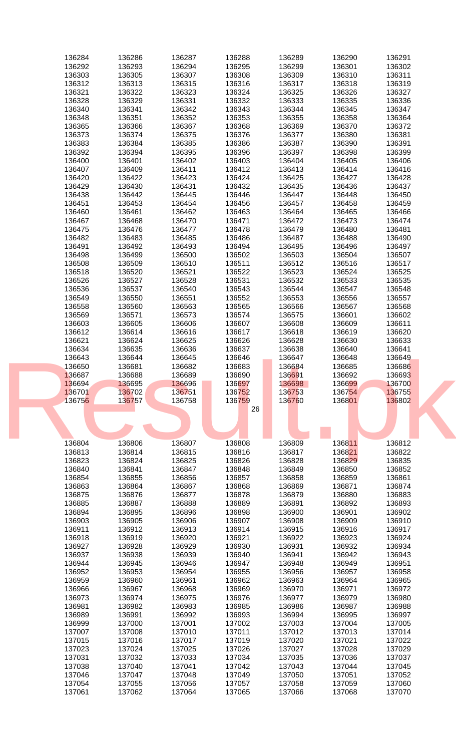| 136284           | 136286           | 136287           | 136288           | 136289           | 136290           | 136291           |  |
|------------------|------------------|------------------|------------------|------------------|------------------|------------------|--|
| 136292           | 136293           | 136294           | 136295           | 136299           | 136301           | 136302           |  |
| 136303           | 136305           | 136307           | 136308           | 136309           | 136310           | 136311           |  |
|                  |                  |                  |                  |                  |                  |                  |  |
| 136312           | 136313           | 136315           | 136316           | 136317           | 136318           | 136319           |  |
| 136321           | 136322           | 136323           | 136324           | 136325           | 136326           | 136327           |  |
|                  |                  |                  |                  |                  |                  |                  |  |
| 136328           | 136329           | 136331           | 136332           | 136333           | 136335           | 136336           |  |
| 136340           | 136341           | 136342           | 136343           | 136344           | 136345           | 136347           |  |
|                  |                  |                  |                  |                  |                  |                  |  |
| 136348           | 136351           | 136352           | 136353           | 136355           | 136358           | 136364           |  |
| 136365           | 136366           | 136367           | 136368           | 136369           | 136370           | 136372           |  |
|                  |                  |                  |                  |                  |                  |                  |  |
| 136373           | 136374           | 136375           | 136376           | 136377           | 136380           | 136381           |  |
| 136383           | 136384           | 136385           | 136386           | 136387           | 136390           | 136391           |  |
|                  |                  |                  |                  |                  |                  |                  |  |
| 136392           | 136394           | 136395           | 136396           | 136397           | 136398           | 136399           |  |
| 136400           | 136401           | 136402           | 136403           | 136404           | 136405           | 136406           |  |
|                  |                  |                  |                  |                  |                  |                  |  |
| 136407           | 136409           | 136411           | 136412           | 136413           | 136414           | 136416           |  |
| 136420           | 136422           | 136423           | 136424           | 136425           | 136427           | 136428           |  |
|                  |                  |                  |                  |                  |                  |                  |  |
| 136429           | 136430           | 136431           | 136432           | 136435           | 136436           | 136437           |  |
| 136438           | 136442           | 136445           | 136446           | 136447           | 136448           | 136450           |  |
|                  |                  |                  |                  |                  |                  |                  |  |
| 136451           | 136453           | 136454           | 136456           | 136457           | 136458           | 136459           |  |
| 136460           | 136461           | 136462           | 136463           | 136464           | 136465           | 136466           |  |
|                  |                  |                  |                  |                  |                  |                  |  |
| 136467           | 136468           | 136470           | 136471           | 136472           | 136473           | 136474           |  |
| 136475           | 136476           | 136477           | 136478           | 136479           | 136480           | 136481           |  |
|                  |                  |                  | 136486           |                  |                  | 136490           |  |
| 136482           | 136483           | 136485           |                  | 136487           | 136488           |                  |  |
| 136491           | 136492           | 136493           | 136494           | 136495           | 136496           | 136497           |  |
|                  |                  |                  |                  |                  |                  |                  |  |
| 136498           | 136499           | 136500           | 136502           | 136503           | 136504           | 136507           |  |
| 136508           | 136509           | 136510           | 136511           | 136512           | 136516           | 136517           |  |
|                  |                  |                  |                  |                  |                  |                  |  |
| 136518           | 136520           | 136521           | 136522           | 136523           | 136524           | 136525           |  |
| 136526           | 136527           | 136528           | 136531           | 136532           | 136533           | 136535           |  |
|                  |                  |                  |                  |                  |                  |                  |  |
| 136536           | 136537           | 136540           | 136543           | 136544           | 136547           | 136548           |  |
| 136549           | 136550           | 136551           | 136552           | 136553           | 136556           | 136557           |  |
|                  |                  |                  |                  |                  |                  |                  |  |
| 136558           | 136560           | 136563           | 136565           | 136566           | 136567           | 136568           |  |
| 136569           | 136571           | 136573           | 136574           | 136575           | 136601           | 136602           |  |
|                  |                  |                  |                  |                  |                  |                  |  |
| 136603           | 136605           | 136606           | 136607           | 136608           | 136609           | 136611           |  |
| 136612           | 136614           | 136616           | 136617           | 136618           | 136619           | 136620           |  |
|                  |                  |                  |                  |                  |                  |                  |  |
| 136621           | 136624           | 136625           | 136626           | 136628           | 136630           | 136633           |  |
| 136634           | 136635           | 136636           | 136637           | 136638           | 136640           | 136641           |  |
|                  |                  |                  |                  |                  |                  |                  |  |
| 136643           | 136644           | 136645           | 136646           | 136647           | 136648           | 136649           |  |
|                  |                  |                  |                  |                  |                  |                  |  |
|                  |                  |                  |                  |                  |                  |                  |  |
| 136650           | 136681           | 136682           | 136683           | 136684           | 136685           | 136686           |  |
| 136687           | 136688           | 136689           | 136690           | 136691           | 136692           | 136693           |  |
|                  |                  |                  |                  |                  |                  |                  |  |
| 136694           | 136695           | 136696           | 136697           | 136698           | 136699           | 136700           |  |
| 136701           | 136702           | 136751           | 136752           | 136753           | 136754           | 136755           |  |
|                  |                  |                  |                  |                  |                  |                  |  |
| 136756           | 136757           | 136758           | 136759           | 136760           | 136801           | 136802           |  |
|                  |                  |                  | 26               |                  |                  |                  |  |
|                  |                  |                  |                  |                  |                  |                  |  |
|                  |                  |                  |                  |                  |                  |                  |  |
|                  |                  |                  |                  |                  |                  |                  |  |
|                  |                  |                  |                  |                  |                  |                  |  |
|                  |                  |                  |                  |                  |                  |                  |  |
| 136804           | 136806           | 136807           | 136808           | 136809           | 136811           | 136812           |  |
| 136813           | 136814           | 136815           | 136816           | 136817           | 136821           | 136822           |  |
|                  |                  |                  |                  |                  |                  |                  |  |
| 136823           | 136824           | 136825           | 136826           | 136828           | 136829           | 136835           |  |
| 136840           | 136841           | 136847           | 136848           | 136849           | 136850           | 136852           |  |
|                  |                  |                  |                  |                  |                  |                  |  |
| 136854           | 136855           | 136856           | 136857           | 136858           | 136859           | 136861           |  |
| 136863           | 136864           | 136867           | 136868           | 136869           | 136871           | 136874           |  |
|                  |                  |                  |                  |                  |                  |                  |  |
| 136875           | 136876           | 136877           | 136878           | 136879           | 136880           | 136883           |  |
| 136885           | 136887           | 136888           | 136889           | 136891           | 136892           | 136893           |  |
|                  |                  |                  |                  |                  |                  |                  |  |
| 136894           | 136895           | 136896           | 136898           | 136900           | 136901           | 136902           |  |
| 136903           | 136905           | 136906           | 136907           | 136908           | 136909           | 136910           |  |
|                  |                  |                  |                  |                  |                  | 136917           |  |
| 136911           | 136912           | 136913           | 136914           | 136915           | 136916           |                  |  |
| 136918           | 136919           | 136920           | 136921           | 136922           | 136923           | 136924           |  |
| 136927           | 136928           | 136929           | 136930           | 136931           | 136932           | 136934           |  |
|                  |                  |                  |                  |                  |                  |                  |  |
| 136937           | 136938           | 136939           | 136940           | 136941           | 136942           | 136943           |  |
| 136944           | 136945           | 136946           | 136947           | 136948           | 136949           | 136951           |  |
|                  |                  |                  |                  |                  |                  |                  |  |
| 136952           | 136953           | 136954           | 136955           | 136956           | 136957           | 136958           |  |
| 136959           | 136960           | 136961           | 136962           | 136963           | 136964           | 136965           |  |
|                  |                  |                  |                  |                  |                  |                  |  |
| 136966           | 136967           | 136968           | 136969           | 136970           | 136971           | 136972           |  |
| 136973           | 136974           | 136975           | 136976           | 136977           | 136979           | 136980           |  |
|                  |                  |                  |                  |                  |                  |                  |  |
| 136981           | 136982           | 136983           | 136985           | 136986           | 136987           | 136988           |  |
| 136989           | 136991           | 136992           | 136993           | 136994           | 136995           | 136997           |  |
|                  |                  |                  |                  |                  |                  |                  |  |
| 136999           | 137000           | 137001           | 137002           | 137003           | 137004           | 137005           |  |
| 137007           | 137008           | 137010           | 137011           | 137012           | 137013           | 137014           |  |
|                  |                  |                  |                  |                  |                  | 137022           |  |
| 137015           | 137016           | 137017           | 137019           | 137020           | 137021           |                  |  |
| 137023           | 137024           | 137025           | 137026           | 137027           | 137028           | 137029           |  |
| 137031           | 137032           | 137033           | 137034           | 137035           | 137036           | 137037           |  |
|                  |                  |                  |                  |                  |                  |                  |  |
| 137038           | 137040           | 137041           | 137042           | 137043           | 137044           | 137045           |  |
| 137046           | 137047           | 137048           | 137049           | 137050           | 137051           | 137052           |  |
|                  |                  |                  |                  |                  |                  |                  |  |
| 137054<br>137061 | 137055<br>137062 | 137056<br>137064 | 137057<br>137065 | 137058<br>137066 | 137059<br>137068 | 137060<br>137070 |  |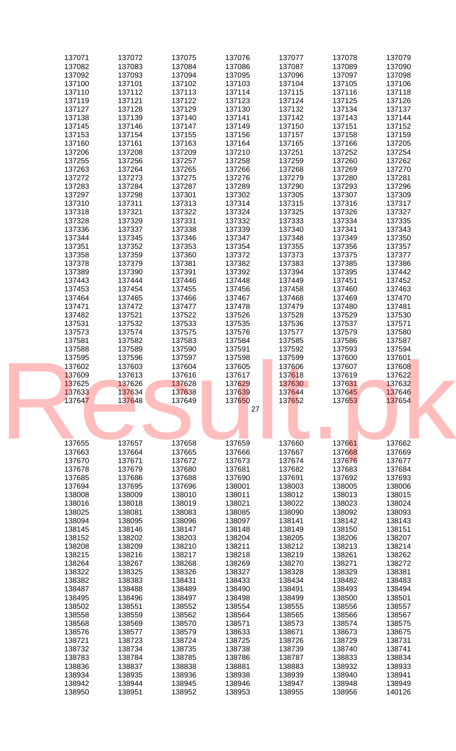| 137071           | 137072           | 137075           | 137076           | 137077           | 137078           | 137079           |  |
|------------------|------------------|------------------|------------------|------------------|------------------|------------------|--|
| 137082           | 137083           | 137084           | 137086           | 137087           | 137089           | 137090           |  |
|                  |                  |                  |                  |                  |                  |                  |  |
| 137092           | 137093           | 137094           | 137095           | 137096           | 137097           | 137098           |  |
| 137100           | 137101           | 137102           | 137103           | 137104           | 137105           | 137106           |  |
|                  |                  |                  |                  |                  |                  |                  |  |
| 137110           | 137112           | 137113           | 137114           | 137115           | 137116           | 137118           |  |
| 137119           | 137121           | 137122           | 137123           | 137124           | 137125           | 137126           |  |
| 137127           | 137128           | 137129           | 137130           | 137132           | 137134           | 137137           |  |
|                  |                  |                  |                  |                  |                  |                  |  |
| 137138           | 137139           | 137140           | 137141           | 137142           | 137143           | 137144           |  |
| 137145           | 137146           | 137147           | 137149           | 137150           | 137151           | 137152           |  |
|                  |                  |                  |                  |                  |                  |                  |  |
| 137153           | 137154           | 137155           | 137156           | 137157           | 137158           | 137159           |  |
| 137160           | 137161           | 137163           | 137164           | 137165           | 137166           | 137205           |  |
| 137206           | 137208           | 137209           | 137210           | 137251           | 137252           | 137254           |  |
|                  |                  |                  |                  |                  |                  |                  |  |
| 137255           | 137256           | 137257           | 137258           | 137259           | 137260           | 137262           |  |
| 137263           | 137264           | 137265           | 137266           | 137268           | 137269           | 137270           |  |
| 137272           | 137273           | 137275           | 137276           | 137279           | 137280           | 137281           |  |
|                  |                  |                  |                  |                  |                  |                  |  |
| 137283           | 137284           | 137287           | 137289           | 137290           | 137293           | 137296           |  |
| 137297           | 137298           | 137301           | 137302           | 137305           | 137307           | 137309           |  |
| 137310           | 137311           | 137313           | 137314           | 137315           | 137316           | 137317           |  |
|                  |                  |                  |                  |                  |                  |                  |  |
| 137318           | 137321           | 137322           | 137324           | 137325           | 137326           | 137327           |  |
| 137328           | 137329           | 137331           | 137332           | 137333           | 137334           | 137335           |  |
| 137336           | 137337           | 137338           | 137339           | 137340           | 137341           | 137343           |  |
|                  |                  |                  |                  |                  |                  |                  |  |
| 137344           | 137345           | 137346           | 137347           | 137348           | 137349           | 137350           |  |
| 137351           | 137352           | 137353           | 137354           | 137355           | 137356           | 137357           |  |
| 137358           | 137359           | 137360           | 137372           | 137373           | 137375           | 137377           |  |
|                  |                  |                  |                  |                  |                  |                  |  |
| 137378           | 137379           | 137381           | 137382           | 137383           | 137385           | 137386           |  |
| 137389           | 137390           | 137391           | 137392           | 137394           | 137395           | 137442           |  |
| 137443           | 137444           | 137446           | 137448           | 137449           | 137451           | 137452           |  |
|                  |                  |                  |                  |                  |                  |                  |  |
| 137453           | 137454           | 137455           | 137456           | 137458           | 137460           | 137463           |  |
| 137464           | 137465           | 137466           | 137467           | 137468           | 137469           | 137470           |  |
| 137471           |                  | 137477           | 137478           | 137479           | 137480           | 137481           |  |
|                  | 137472           |                  |                  |                  |                  |                  |  |
| 137482           | 137521           | 137522           | 137526           | 137528           | 137529           | 137530           |  |
| 137531           | 137532           | 137533           | 137535           | 137536           | 137537           | 137571           |  |
|                  |                  |                  |                  |                  |                  |                  |  |
| 137573           | 137574           | 137575           | 137576           | 137577           | 137579           | 137580           |  |
| 137581           | 137582           | 137583           | 137584           | 137585           | 137586           | 137587           |  |
| 137588           | 137589           | 137590           | 137591           | 137592           | 137593           | 137594           |  |
| 137595           | 137596           | 137597           | 137598           | 137599           | 137600           | 137601           |  |
|                  |                  |                  |                  |                  |                  |                  |  |
|                  |                  |                  |                  |                  |                  |                  |  |
| 137602           | 137603           | 137604           | 137605           | 137606           | 137607           | 137608           |  |
|                  |                  |                  |                  |                  |                  |                  |  |
| 137609           | 137613           | 137616           | 137617           | 137618           | 137619           | 137622           |  |
| 137625           | 137626           | 137628           | 137629           | 137630           | 137631           | 137632           |  |
| 137633           | 137634           | 137638           | 137639           | 137644           | 137645           | 137646           |  |
|                  |                  |                  |                  |                  |                  |                  |  |
| 137647           | 137648           | 137649           | 137650           | 137652           | 137653           | 137654           |  |
|                  |                  |                  | 27               |                  |                  |                  |  |
|                  |                  |                  |                  |                  |                  |                  |  |
|                  |                  |                  |                  |                  |                  |                  |  |
|                  |                  |                  |                  |                  |                  |                  |  |
|                  |                  |                  |                  |                  |                  |                  |  |
| 137655           | 137657           | 137658           | 137659           | 137660           | 137661           | 137662           |  |
| 137663           | 137664           | 137665           | 137666           | 137667           | 137668           | 137669           |  |
|                  |                  |                  |                  |                  |                  |                  |  |
| 137670           | 137671           | 137672           | 137673           | 137674           | 137676           | 137677           |  |
| 137678           | 137679           | 137680           | 137681           | 137682           | 137683           | 137684           |  |
| 137685           | 137686           | 137688           | 137690           | 137691           | 137692           | 137693           |  |
|                  |                  |                  |                  |                  |                  |                  |  |
| 137694           | 137695           | 137696           | 138001           | 138003           | 138005           | 138006           |  |
| 138008           | 138009           | 138010           | 138011           | 138012           | 138013           | 138015           |  |
| 138016           | 138018           | 138019           | 138021           | 138022           | 138023           | 138024           |  |
|                  |                  |                  |                  |                  |                  |                  |  |
| 138025           | 138081           | 138083           | 138085           | 138090           | 138092           | 138093           |  |
| 138094           | 138095           | 138096           | 138097           | 138141           | 138142           | 138143           |  |
| 138145           | 138146           | 138147           | 138148           | 138149           | 138150           | 138151           |  |
|                  |                  |                  |                  |                  |                  |                  |  |
| 138152           | 138202           | 138203           | 138204           | 138205           | 138206           | 138207           |  |
| 138208           | 138209           | 138210           | 138211           | 138212           | 138213           | 138214           |  |
| 138215           | 138216           | 138217           | 138218           | 138219           | 138261           | 138262           |  |
|                  | 138267           | 138268           | 138269           |                  |                  | 138272           |  |
| 138264           |                  |                  |                  | 138270           | 138271           |                  |  |
| 138322           | 138325           | 138326           | 138327           | 138328           | 138329           | 138381           |  |
| 138382           | 138383           | 138431           | 138433           | 138434           | 138482           | 138483           |  |
| 138487           | 138488           | 138489           | 138490           | 138491           | 138493           | 138494           |  |
|                  |                  |                  |                  |                  |                  |                  |  |
| 138495           | 138496           | 138497           | 138498           | 138499           | 138500           | 138501           |  |
| 138502           | 138551           | 138552           | 138554           | 138555           | 138556           | 138557           |  |
| 138558           | 138559           | 138562           | 138564           | 138565           | 138566           | 138567           |  |
|                  |                  |                  |                  |                  |                  |                  |  |
| 138568           | 138569           | 138570           | 138571           | 138573           | 138574           | 138575           |  |
| 138576           | 138577           | 138579           | 138633           | 138671           | 138673           | 138675           |  |
| 138721           | 138723           | 138724           | 138725           | 138726           | 138729           | 138731           |  |
|                  |                  |                  |                  |                  |                  |                  |  |
| 138732           | 138734           | 138735           | 138738           | 138739           | 138740           | 138741           |  |
| 138783           | 138784           | 138785           | 138786           | 138787           | 138833           | 138834           |  |
| 138836           | 138837           | 138838           | 138881           | 138883           | 138932           | 138933           |  |
|                  |                  |                  |                  |                  |                  | 138941           |  |
| 138934           | 138935           | 138936           | 138938           | 138939           | 138940           |                  |  |
| 138942<br>138950 | 138944<br>138951 | 138945<br>138952 | 138946<br>138953 | 138947<br>138955 | 138948<br>138956 | 138949<br>140126 |  |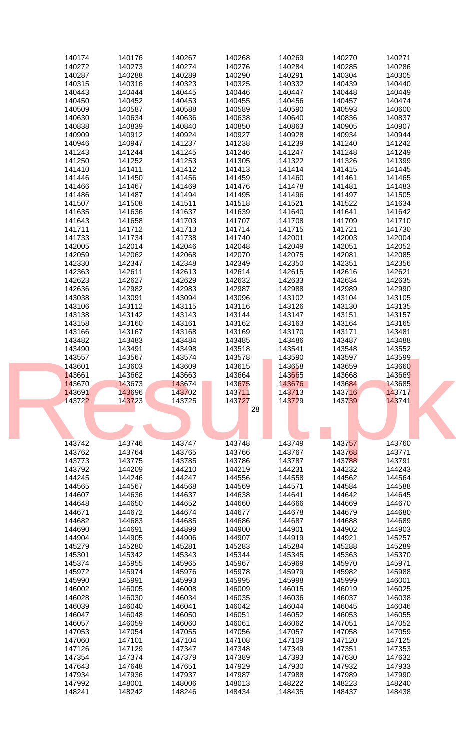| 140174           | 140176           | 140267           | 140268           | 140269           | 140270           | 140271           |  |
|------------------|------------------|------------------|------------------|------------------|------------------|------------------|--|
| 140272           | 140273           | 140274           | 140276           | 140284           | 140285           | 140286           |  |
|                  |                  |                  |                  |                  |                  |                  |  |
| 140287           | 140288           | 140289           | 140290           | 140291           | 140304           | 140305           |  |
| 140315           | 140316           | 140323           | 140325           | 140332           | 140439           | 140440           |  |
|                  |                  |                  |                  |                  |                  |                  |  |
| 140443           | 140444           | 140445           | 140446           | 140447           | 140448           | 140449           |  |
| 140450           | 140452           | 140453           | 140455           | 140456           | 140457           | 140474           |  |
| 140509           | 140587           | 140588           | 140589           | 140590           | 140593           | 140600           |  |
|                  |                  |                  |                  |                  |                  |                  |  |
| 140630           | 140634           | 140636           | 140638           | 140640           | 140836           | 140837           |  |
| 140838           | 140839           | 140840           | 140850           | 140863           | 140905           | 140907           |  |
|                  |                  |                  |                  |                  |                  |                  |  |
| 140909           | 140912           | 140924           | 140927           | 140928           | 140934           | 140944           |  |
| 140946           | 140947           | 141237           | 141238           | 141239           | 141240           | 141242           |  |
|                  |                  |                  |                  |                  |                  |                  |  |
| 141243           | 141244           | 141245           | 141246           | 141247           | 141248           | 141249           |  |
| 141250           | 141252           | 141253           | 141305           | 141322           | 141326           | 141399           |  |
|                  |                  |                  |                  |                  |                  |                  |  |
| 141410           | 141411           | 141412           | 141413           | 141414           | 141415           | 141445           |  |
| 141446           | 141450           | 141456           | 141459           | 141460           | 141461           | 141465           |  |
|                  | 141467           | 141469           | 141476           | 141478           | 141481           | 141483           |  |
| 141466           |                  |                  |                  |                  |                  |                  |  |
| 141486           | 141487           | 141494           | 141495           | 141496           | 141497           | 141505           |  |
| 141507           | 141508           | 141511           | 141518           | 141521           | 141522           | 141634           |  |
|                  |                  |                  |                  |                  |                  |                  |  |
| 141635           | 141636           | 141637           | 141639           | 141640           | 141641           | 141642           |  |
| 141643           | 141658           | 141703           | 141707           | 141708           | 141709           | 141710           |  |
|                  |                  |                  |                  |                  |                  |                  |  |
| 141711           | 141712           | 141713           | 141714           | 141715           | 141721           | 141730           |  |
| 141733           | 141734           | 141738           | 141740           | 142001           | 142003           | 142004           |  |
|                  |                  |                  | 142048           |                  |                  |                  |  |
| 142005           | 142014           | 142046           |                  | 142049           | 142051           | 142052           |  |
| 142059           | 142062           | 142068           | 142070           | 142075           | 142081           | 142085           |  |
| 142330           | 142347           | 142348           | 142349           | 142350           | 142351           | 142356           |  |
|                  |                  |                  |                  |                  |                  |                  |  |
| 142363           | 142611           | 142613           | 142614           | 142615           | 142616           | 142621           |  |
| 142623           | 142627           | 142629           | 142632           | 142633           | 142634           | 142635           |  |
|                  |                  |                  |                  |                  |                  |                  |  |
| 142636           | 142982           | 142983           | 142987           | 142988           | 142989           | 142990           |  |
| 143038           | 143091           | 143094           | 143096           | 143102           | 143104           | 143105           |  |
|                  |                  |                  |                  |                  |                  |                  |  |
| 143106           | 143112           | 143115           | 143116           | 143126           | 143130           | 143135           |  |
| 143138           | 143142           | 143143           | 143144           | 143147           | 143151           | 143157           |  |
|                  |                  |                  |                  |                  |                  |                  |  |
| 143158           | 143160           | 143161           | 143162           | 143163           | 143164           | 143165           |  |
| 143166           | 143167           | 143168           | 143169           | 143170           | 143171           | 143481           |  |
| 143482           | 143483           | 143484           | 143485           | 143486           | 143487           | 143488           |  |
|                  |                  |                  |                  |                  |                  |                  |  |
| 143490           | 143491           | 143498           | 143518           | 143541           | 143548           | 143552           |  |
| 143557           | 143567           | 143574           | 143578           | 143590           | 143597           | 143599           |  |
|                  |                  |                  |                  |                  |                  |                  |  |
|                  | 143603           | 143609           | 143615           | 143658           | 143659           | 143660           |  |
| 143601           |                  |                  |                  |                  |                  |                  |  |
|                  |                  |                  |                  |                  |                  |                  |  |
| 143661           | 143662           | 143663           | 143664           | 143665           | 143668           | 143669           |  |
| 143670           | 143673           | 143674           | 143675           | 143676           | 143684           | 143685           |  |
|                  |                  |                  |                  |                  |                  |                  |  |
| 143691           | 143696           | 143702           | 143711           | 143713           | 143716           | 143717           |  |
| 143722           | 143723           | 143725           | 143727           | 143729           | 143739           | 143741           |  |
|                  |                  |                  | 28               |                  |                  |                  |  |
|                  |                  |                  |                  |                  |                  |                  |  |
|                  |                  |                  |                  |                  |                  |                  |  |
|                  |                  |                  |                  |                  |                  |                  |  |
|                  |                  |                  |                  |                  |                  |                  |  |
|                  |                  |                  |                  |                  |                  |                  |  |
| 143742           | 143746           | 143747           | 143748           | 143749           | 143757           | 143760           |  |
| 143762           | 143764           | 143765           | 143766           | 143767           | 143768           | 143771           |  |
|                  |                  |                  |                  |                  |                  |                  |  |
| 143773           | 143775           | 143785           | 143786           | 143787           | 143788           | 143791           |  |
| 143792           | 144209           | 144210           | 144219           | 144231           | 144232           | 144243           |  |
| 144245           | 144246           | 144247           | 144556           | 144558           | 144562           | 144564           |  |
|                  |                  |                  |                  |                  |                  |                  |  |
| 144565           | 144567           | 144568           | 144569           | 144571           | 144584           | 144588           |  |
| 144607           | 144636           | 144637           | 144638           | 144641           | 144642           | 144645           |  |
|                  |                  |                  |                  |                  |                  |                  |  |
| 144648           | 144650           | 144652           | 144660           | 144666           | 144669           | 144670           |  |
| 144671           | 144672           | 144674           | 144677           | 144678           | 144679           | 144680           |  |
|                  |                  |                  |                  |                  |                  |                  |  |
| 144682           | 144683           | 144685           | 144686           | 144687           | 144688           | 144689           |  |
| 144690           | 144691           | 144899           | 144900           | 144901           | 144902           | 144903           |  |
| 144904           | 144905           | 144906           | 144907           | 144919           | 144921           | 145257           |  |
|                  |                  |                  |                  |                  |                  |                  |  |
| 145279           | 145280           | 145281           | 145283           | 145284           | 145288           | 145289           |  |
| 145301           | 145342           | 145343           | 145344           | 145345           | 145363           | 145370           |  |
|                  |                  |                  |                  |                  |                  |                  |  |
| 145374           | 145955           | 145965           | 145967           | 145969           | 145970           | 145971           |  |
| 145972           | 145974           | 145976           | 145978           | 145979           | 145982           | 145988           |  |
| 145990           | 145991           | 145993           | 145995           | 145998           | 145999           | 146001           |  |
|                  |                  |                  |                  |                  |                  |                  |  |
| 146002           | 146005           | 146008           | 146009           | 146015           | 146019           | 146025           |  |
| 146028           | 146030           | 146034           | 146035           | 146036           | 146037           | 146038           |  |
|                  |                  |                  |                  |                  |                  |                  |  |
| 146039           | 146040           | 146041           | 146042           | 146044           | 146045           | 146046           |  |
| 146047           | 146048           | 146050           | 146051           | 146052           | 146053           | 146055           |  |
| 146057           | 146059           |                  | 146061           |                  |                  | 147052           |  |
|                  |                  | 146060           |                  | 146062           | 147051           |                  |  |
| 147053           | 147054           | 147055           | 147056           | 147057           | 147058           | 147059           |  |
| 147060           | 147101           | 147104           | 147108           | 147109           | 147120           | 147125           |  |
|                  |                  |                  |                  |                  |                  |                  |  |
| 147126           | 147129           | 147347           | 147348           | 147349           | 147351           | 147353           |  |
| 147354           | 147374           | 147379           | 147389           | 147393           | 147630           | 147632           |  |
| 147643           | 147648           | 147651           | 147929           | 147930           | 147932           | 147933           |  |
|                  |                  |                  |                  |                  |                  |                  |  |
| 147934           | 147936           | 147937           | 147987           | 147988           | 147989           | 147990           |  |
| 147992<br>148241 | 148001<br>148242 | 148006<br>148246 | 148013<br>148434 | 148222<br>148435 | 148223<br>148437 | 148240<br>148438 |  |